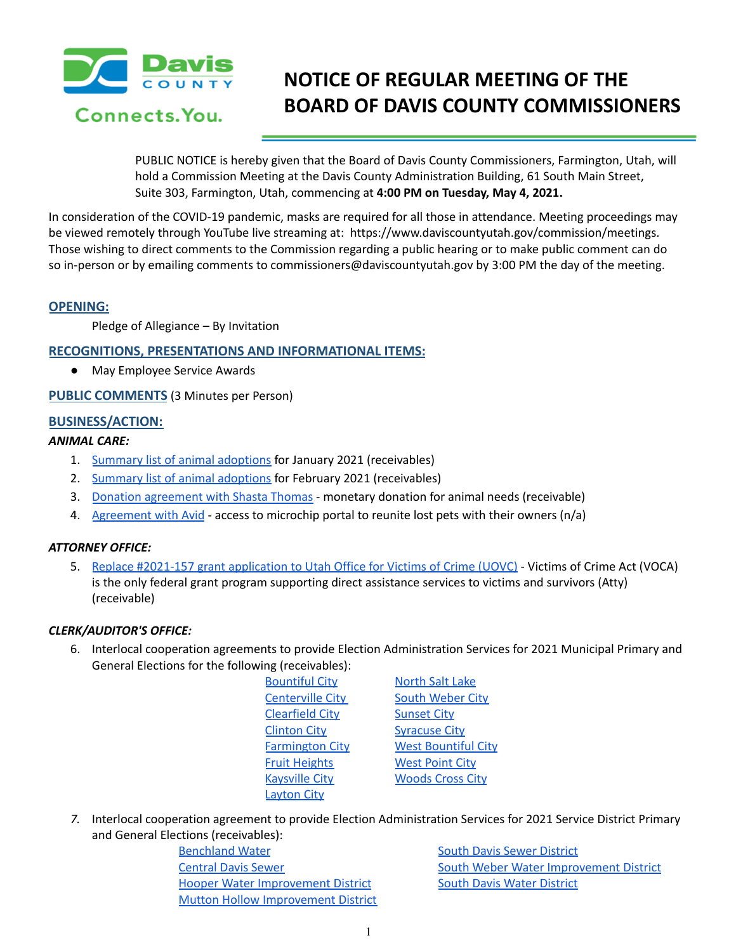

# **NOTICE OF REGULAR MEETING OF THE BOARD OF DAVIS COUNTY COMMISSIONERS**

PUBLIC NOTICE is hereby given that the Board of Davis County Commissioners, Farmington, Utah, will hold a Commission Meeting at the Davis County Administration Building, 61 South Main Street, Suite 303, Farmington, Utah, commencing at **4:00 PM on Tuesday, May 4, 2021.**

In consideration of the COVID-19 pandemic, masks are required for all those in attendance. Meeting proceedings may be viewed remotely through YouTube live streaming at: https://www.daviscountyutah.gov/commission/meetings. Those wishing to direct comments to the Commission regarding a public hearing or to make public comment can do so in-person or by emailing comments to commissioners@daviscountyutah.gov by 3:00 PM the day of the meeting.

# **OPENING:**

Pledge of Allegiance – By Invitation

# **RECOGNITIONS, PRESENTATIONS AND INFORMATIONAL ITEMS:**

● May Employee Service Awards

**PUBLIC COMMENTS** (3 Minutes per Person)

# **BUSINESS/ACTION:**

## *ANIMAL CARE:*

- 1. Summary list of animal [adoptions](https://drive.google.com/file/d/1rDI75sN85g3iBFOnCe0Jq0DuidJ3c6CE/view?usp=drivesdk) for January 2021 (receivables)
- 2. Summary list of animal [adoptions](https://drive.google.com/file/d/13kMR9TVrpOuaLxY-6XBFCEBeQSQeQoA6/view?usp=drivesdk) for February 2021 (receivables)
- 3. Donation [agreement](https://drive.google.com/file/d/1fqB7jIlYEsWjWKeelBjOfOCxqk4UxrxV/view?usp=drivesdk) with Shasta Thomas monetary donation for animal needs (receivable)
- 4. [Agreement](https://drive.google.com/file/d/1sPQ_jK0MCqfPF_VbvZwG9vjoYc1Zpmo9/view?usp=drivesdk) with Avid access to microchip portal to reunite lost pets with their owners (n/a)

# *ATTORNEY OFFICE:*

5. Replace #2021-157 grant [application](https://drive.google.com/file/d/1vu5LA0524erbuZ0Lo9lBZfZCCYGKNrY6/view?usp=drivesdk) to Utah Office for Victims of Crime (UOVC) - Victims of Crime Act (VOCA) is the only federal grant program supporting direct assistance services to victims and survivors (Atty) (receivable)

# *CLERK/AUDITOR'S OFFICE:*

6. Interlocal cooperation agreements to provide Election Administration Services for 2021 Municipal Primary and General Elections for the following (receivables):

> [Bountiful](https://drive.google.com/file/d/1wQIZzf0WpWVIbyRAp7sf15LqSgG3uNQo/view?usp=drivesdk) City [North](https://drive.google.com/file/d/1-N-LaoGDqYeb4HeujKGLtnDZUJA_VPTy/view?usp=drivesdk) Salt Lake [Centerville](https://drive.google.com/file/d/140qvmJIyG69ZdszvMx72IhdO3oUzrKDh/view?usp=drivesdk) City South [Weber](https://drive.google.com/file/d/12CwZLAzWOyE7rzhqef7w6uH45pEIyeed/view?usp=drivesdk) City [Clearfield](https://drive.google.com/file/d/1rDz7PX2UnqFSfDijy60oSllw-PfGPmIS/view?usp=drivesdk) City **[Sunset](https://drive.google.com/file/d/1brhLkhP9K-7duHmybnNBmZryRmrBehY2/view?usp=drivesdk) City** [Clinton](https://drive.google.com/file/d/134CfeGMvZDc2TZe-8fzbZcC5repFG97p/view?usp=drivesdk) City **[Syracuse](https://drive.google.com/file/d/1j8dIVaO270JYPg0iPLgnZCr5eMtRv8EU/view?usp=drivesdk) City** Fruit [Heights](https://drive.google.com/file/d/1FhcJ1vUu-pwlAHD7Uia6p-fRcPTWWwXF/view?usp=drivesdk) West [Point](https://drive.google.com/file/d/1S63b41iedJ6ajKNTjj1uDlnmGGRcB_fv/view?usp=drivesdk) City [Kaysville](https://drive.google.com/file/d/1xBeCmiQxKWoBig3GNFJi7-5q_wj8VjXr/view?usp=drivesdk) City **[Woods](https://drive.google.com/file/d/1hjwUPaDMGwLdUgblC7rHRNY4dO3QmdGM/view?usp=drivesdk) Cross City** [Layton](https://drive.google.com/file/d/1ZBvI0-OEB852yYdgJvVFAFccRIMpnF1X/view?usp=drivesdk) City

[Farmington](https://drive.google.com/file/d/1GTqrUmnAhpvdQ5yHK-iWBnDFf-1W_lfY/view?usp=drivesdk) City West [Bountiful](https://drive.google.com/file/d/1wdlHN___gcfSpp4AMxZArjGrg4HrLCL1/view?usp=drivesdk) City

*7.* Interlocal cooperation agreement to provide Election Administration Services for 2021 Service District Primary and General Elections (receivables):

> [Benchland](https://drive.google.com/file/d/1rLJLe4CDLD2lMvIPFHcw_AMuukk_78sO/view?usp=drivesdk) Water South Davis Sewer [District](https://drive.google.com/file/d/1mdYo7iX4oeMRhd1f9VVAq-0d3RqC8xKU/view?usp=drivesdk) Hooper Water [Improvement](https://drive.google.com/file/d/17QA5aqZSxo0T0BKHgExVrv4pm3_OW71E/view?usp=drivesdk) [District](https://drive.google.com/file/d/1FPbXwUte52zI-mVwhC-rh1OPASfgor5B/view?usp=drivesdk) South Davis Water District Mutton Hollow [Improvement](https://drive.google.com/file/d/117FYTAmyf8Nph3nMQLSUJHnRAuY84GcF/view?usp=drivesdk) District

[Central](https://drive.google.com/file/d/1mXAu1mxZ29LZMQe8gtoPOjaYiT--gx0G/view?usp=drivesdk) Davis Sewer South Weber Water [Improvement](https://drive.google.com/file/d/1k05SARHUuWZXNPx6a2zIQ4Fj7bIlGl1a/view?usp=drivesdk) District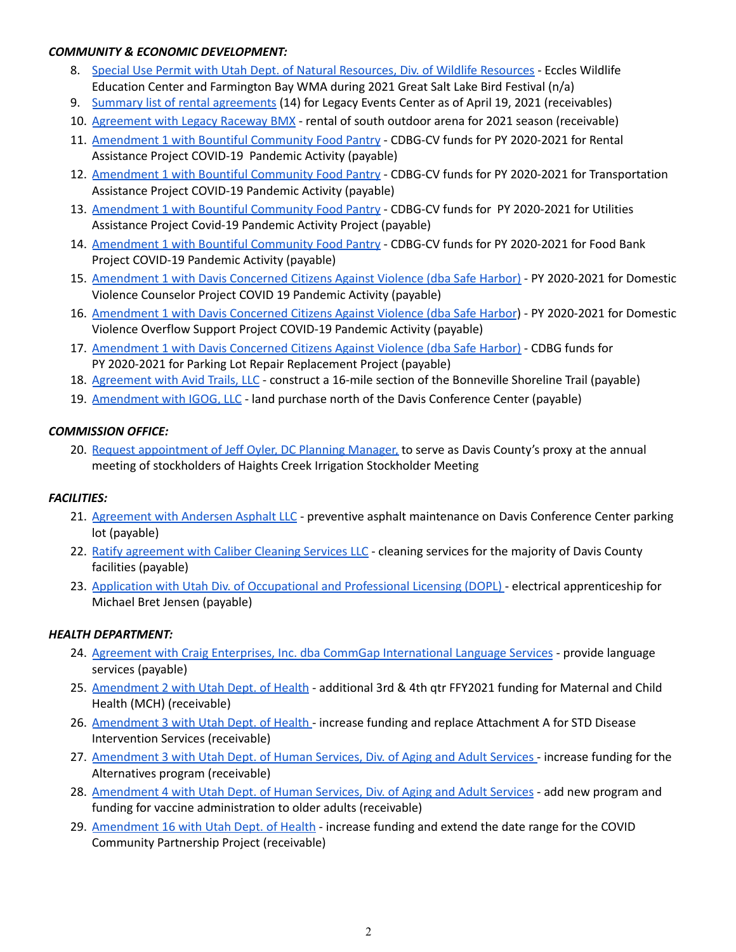# *COMMUNITY & ECONOMIC DEVELOPMENT:*

- 8. Special Use Permit with Utah Dept. of Natural [Resources,](https://drive.google.com/file/d/1eRvOzu0y3CpQGmAsXYzRxJXuwpC9xZiI/view?usp=drivesdk) Div. of Wildlife Resources Eccles Wildlife Education Center and Farmington Bay WMA during 2021 Great Salt Lake Bird Festival (n/a)
- 9. Summary list of rental [agreements](https://drive.google.com/file/d/1urQdpfUKvWUhhjvddjCpwEochdpXkM7L/view?usp=drivesdk) (14) for Legacy Events Center as of April 19, 2021 (receivables)
- 10. [Agreement](https://drive.google.com/file/d/1o7JwsK3ru3ANTgmU_qnZgnDQePdiGLaP/view?usp=drivesdk) with Legacy Raceway BMX rental of south outdoor arena for 2021 season (receivable)
- 11. [Amendment](https://drive.google.com/file/d/1LRQfnx-BtTDUltBoStLBtGN1EWm6aiVk/view?usp=drivesdk) 1 with Bountiful Community Food Pantry CDBG-CV funds for PY 2020-2021 for Rental Assistance Project COVID-19 Pandemic Activity (payable)
- 12. [Amendment](https://drive.google.com/file/d/1ZZv4E1ilAc3SovMKSsvGZ7Pni5v7D_XG/view?usp=drivesdk) 1 with Bountiful Community Food Pantry CDBG-CV funds for PY 2020-2021 for Transportation Assistance Project COVID-19 Pandemic Activity (payable)
- 13. [Amendment](https://drive.google.com/file/d/1ZGYAQT0uqDlgtj6vXVk274zvs6aBWN5j/view?usp=drivesdk) 1 with Bountiful Community Food Pantry CDBG-CV funds for PY 2020-2021 for Utilities Assistance Project Covid-19 Pandemic Activity Project (payable)
- 14. [Amendment](https://drive.google.com/file/d/1ZfXvZmy2aenS9PEumUflw5YqLxpALKd0/view?usp=drivesdk) 1 with Bountiful Community Food Pantry CDBG-CV funds for PY 2020-2021 for Food Bank Project COVID-19 Pandemic Activity (payable)
- 15. [Amendment](https://drive.google.com/file/d/1EKDTC6pwDhZD3jHxAugt2C9VxTECUQeu/view?usp=drivesdk) 1 with Davis Concerned Citizens Against Violence (dba Safe Harbor) PY 2020-2021 for Domestic Violence Counselor Project COVID 19 Pandemic Activity (payable)
- 16. [Amendment](https://drive.google.com/file/d/18Lew8-WmdNjVhqbXLQHxSkp7K_67zKRR/view?usp=drivesdk) 1 with Davis Concerned Citizens Against Violence (dba Safe Harbor) PY 2020-2021 for Domestic Violence Overflow Support Project COVID-19 Pandemic Activity (payable)
- 17. [Amendment](https://drive.google.com/file/d/1IPLmq43_5GnEvqN7nBK-jwKyzGbCI6wh/view?usp=drivesdk) 1 with Davis Concerned Citizens Against Violence (dba Safe Harbor) CDBG funds for PY 2020-2021 for Parking Lot Repair Replacement Project (payable)
- 18. [Agreement](https://drive.google.com/file/d/1fJupiBWCrgw1K3SgzCKVEzRq7wOUOi6I/view?usp=drivesdk) with Avid Trails, LLC construct a 16-mile section of the Bonneville Shoreline Trail (payable)
- 19. [Amendment](https://drive.google.com/file/d/1oUot2hCTPO8_JErS_cxSb-QMlB07X1QH/view?usp=drivesdk) with IGOG, LLC land purchase north of the Davis Conference Center (payable)

# *COMMISSION OFFICE:*

20. Request [appointment](https://drive.google.com/file/d/1cAfsTcrbtmrPl8iEugH2jQmWMx7B_4oh/view?usp=drivesdk) of Jeff Oyler, DC Planning Manager, to serve as Davis County's proxy at the annual meeting of stockholders of Haights Creek Irrigation Stockholder Meeting

# *FACILITIES:*

- 21. [Agreement](https://drive.google.com/file/d/14_YISYBXx6g4CQ2kHOcdOHADQIyXE-ha/view?usp=drivesdk) with Andersen Asphalt LLC preventive asphalt maintenance on Davis Conference Center parking lot (payable)
- 22. Ratify [agreement](https://drive.google.com/file/d/1X-hY0BmVTnTushA-rwpHpHtEtTzn71gz/view?usp=drivesdk) with Caliber Cleaning Services LLC cleaning services for the majority of Davis County facilities (payable)
- 23. Application with Utah Div. of [Occupational](https://drive.google.com/file/d/10YH2lmY-bVeLk-jM3naA93DtQaIT62Sq/view?usp=drivesdk) and Professional Licensing (DOPL) electrical apprenticeship for Michael Bret Jensen (payable)

# *HEALTH DEPARTMENT:*

- 24. Agreement with Craig Enterprises, Inc. dba CommGap [International](https://drive.google.com/file/d/1HG6UQPn4ZCYZZBIWYIdghZToiJRXMfNx/view?usp=drivesdk) Language Services provide language services (payable)
- 25. [Amendment](https://drive.google.com/file/d/17ypNns_4lz0n5ENYUwTguxrZd2cVBLiG/view?usp=drivesdk) 2 with Utah Dept. of Health additional 3rd & 4th qtr FFY2021 funding for Maternal and Child Health (MCH) (receivable)
- 26. [Amendment](https://drive.google.com/file/d/1OQvPYw4Clu2HDc9FAvm-GwejxMCOkFrk/view?usp=drivesdk) 3 with Utah Dept. of Health increase funding and replace Attachment A for STD Disease Intervention Services (receivable)
- 27. [Amendment](https://drive.google.com/file/d/1uJuMrte8PemxvW59cV1aDGG6lWtu2ogL/view?usp=drivesdk) 3 with Utah Dept. of Human Services, Div. of Aging and Adult Services increase funding for the Alternatives program (receivable)
- 28. [Amendment](https://drive.google.com/file/d/12dzkcx2irRs4cirMLbOHMvz1myVOsz8I/view?usp=drivesdk) 4 with Utah Dept. of Human Services, Div. of Aging and Adult Services add new program and funding for vaccine administration to older adults (receivable)
- 29. [Amendment](https://drive.google.com/file/d/1UzZ2niF38subRCCxuQFobIDSJUl8xzwc/view?usp=drivesdk) 16 with Utah Dept. of Health increase funding and extend the date range for the COVID Community Partnership Project (receivable)